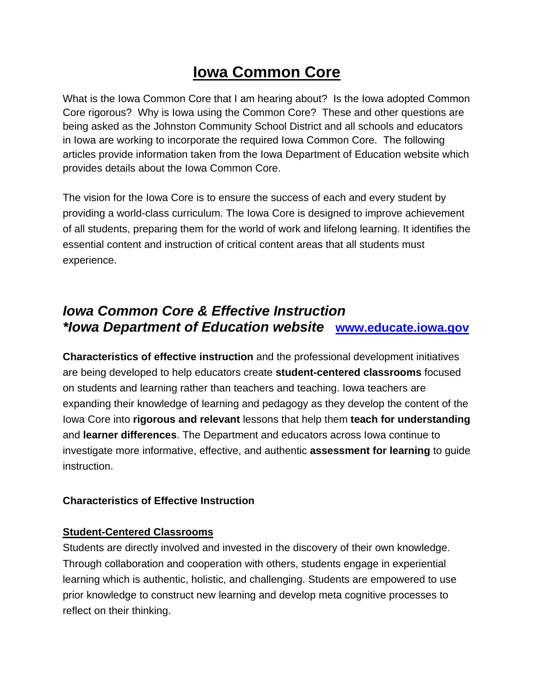# **Iowa Common Core**

What is the Iowa Common Core that I am hearing about? Is the Iowa adopted Common Core rigorous? Why is Iowa using the Common Core? These and other questions are being asked as the Johnston Community School District and all schools and educators in Iowa are working to incorporate the required Iowa Common Core. The following articles provide information taken from the Iowa Department of Education website which provides details about the Iowa Common Core.

The vision for the Iowa Core is to ensure the success of each and every student by providing a world-class curriculum. The Iowa Core is designed to improve achievement of all students, preparing them for the world of work and lifelong learning. It identifies the essential content and instruction of critical content areas that all students must experience.

# *Iowa Common Core & Effective Instruction \*Iowa Department of Education website* **www.educate.iowa.gov**

**Characteristics of effective instruction** and the professional development initiatives are being developed to help educators create **student-centered classrooms** focused on students and learning rather than teachers and teaching. Iowa teachers are expanding their knowledge of learning and pedagogy as they develop the content of the Iowa Core into **rigorous and relevant** lessons that help them **teach for understanding** and **learner differences**. The Department and educators across Iowa continue to investigate more informative, effective, and authentic **assessment for learning** to guide instruction.

#### **Characteristics of Effective Instruction**

#### **Student-Centered Classrooms**

Students are directly involved and invested in the discovery of their own knowledge. Through collaboration and cooperation with others, students engage in experiential learning which is authentic, holistic, and challenging. Students are empowered to use prior knowledge to construct new learning and develop meta cognitive processes to reflect on their thinking.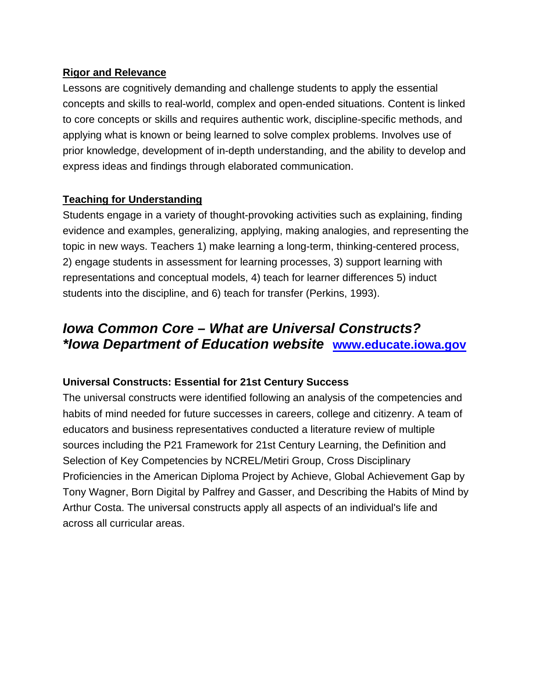#### **Rigor and Relevance**

Lessons are cognitively demanding and challenge students to apply the essential concepts and skills to real-world, complex and open-ended situations. Content is linked to core concepts or skills and requires authentic work, discipline-specific methods, and applying what is known or being learned to solve complex problems. Involves use of prior knowledge, development of in-depth understanding, and the ability to develop and express ideas and findings through elaborated communication.

#### **Teaching for Understanding**

Students engage in a variety of thought-provoking activities such as explaining, finding evidence and examples, generalizing, applying, making analogies, and representing the topic in new ways. Teachers 1) make learning a long-term, thinking-centered process, 2) engage students in assessment for learning processes, 3) support learning with representations and conceptual models, 4) teach for learner differences 5) induct students into the discipline, and 6) teach for transfer (Perkins, 1993).

# *Iowa Common Core – What are Universal Constructs? \*Iowa Department of Education website* **www.educate.iowa.gov**

#### **Universal Constructs: Essential for 21st Century Success**

The universal constructs were identified following an analysis of the competencies and habits of mind needed for future successes in careers, college and citizenry. A team of educators and business representatives conducted a literature review of multiple sources including the P21 Framework for 21st Century Learning, the Definition and Selection of Key Competencies by NCREL/Metiri Group, Cross Disciplinary Proficiencies in the American Diploma Project by Achieve, Global Achievement Gap by Tony Wagner, Born Digital by Palfrey and Gasser, and Describing the Habits of Mind by Arthur Costa. The universal constructs apply all aspects of an individual's life and across all curricular areas.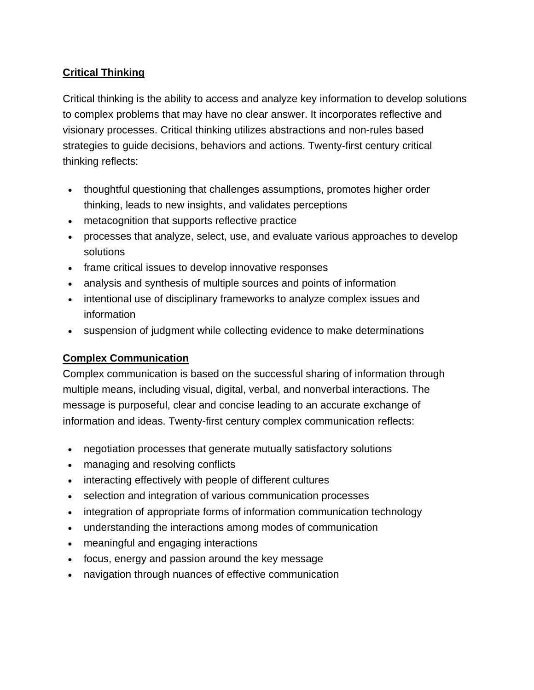## **Critical Thinking**

Critical thinking is the ability to access and analyze key information to develop solutions to complex problems that may have no clear answer. It incorporates reflective and visionary processes. Critical thinking utilizes abstractions and non-rules based strategies to guide decisions, behaviors and actions. Twenty-first century critical thinking reflects:

- thoughtful questioning that challenges assumptions, promotes higher order thinking, leads to new insights, and validates perceptions
- metacognition that supports reflective practice
- processes that analyze, select, use, and evaluate various approaches to develop solutions
- frame critical issues to develop innovative responses
- analysis and synthesis of multiple sources and points of information
- intentional use of disciplinary frameworks to analyze complex issues and information
- suspension of judgment while collecting evidence to make determinations

#### **Complex Communication**

Complex communication is based on the successful sharing of information through multiple means, including visual, digital, verbal, and nonverbal interactions. The message is purposeful, clear and concise leading to an accurate exchange of information and ideas. Twenty-first century complex communication reflects:

- negotiation processes that generate mutually satisfactory solutions
- managing and resolving conflicts
- interacting effectively with people of different cultures
- selection and integration of various communication processes
- integration of appropriate forms of information communication technology
- understanding the interactions among modes of communication
- meaningful and engaging interactions
- focus, energy and passion around the key message
- navigation through nuances of effective communication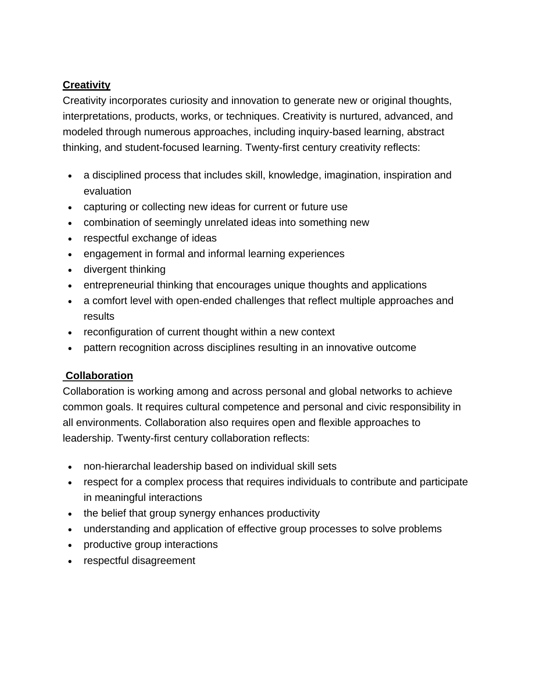## **Creativity**

Creativity incorporates curiosity and innovation to generate new or original thoughts, interpretations, products, works, or techniques. Creativity is nurtured, advanced, and modeled through numerous approaches, including inquiry-based learning, abstract thinking, and student-focused learning. Twenty-first century creativity reflects:

- a disciplined process that includes skill, knowledge, imagination, inspiration and evaluation
- capturing or collecting new ideas for current or future use
- combination of seemingly unrelated ideas into something new
- respectful exchange of ideas
- engagement in formal and informal learning experiences
- divergent thinking
- entrepreneurial thinking that encourages unique thoughts and applications
- a comfort level with open-ended challenges that reflect multiple approaches and results
- reconfiguration of current thought within a new context
- pattern recognition across disciplines resulting in an innovative outcome

# **Collaboration**

Collaboration is working among and across personal and global networks to achieve common goals. It requires cultural competence and personal and civic responsibility in all environments. Collaboration also requires open and flexible approaches to leadership. Twenty-first century collaboration reflects:

- non-hierarchal leadership based on individual skill sets
- respect for a complex process that requires individuals to contribute and participate in meaningful interactions
- the belief that group synergy enhances productivity
- understanding and application of effective group processes to solve problems
- productive group interactions
- respectful disagreement